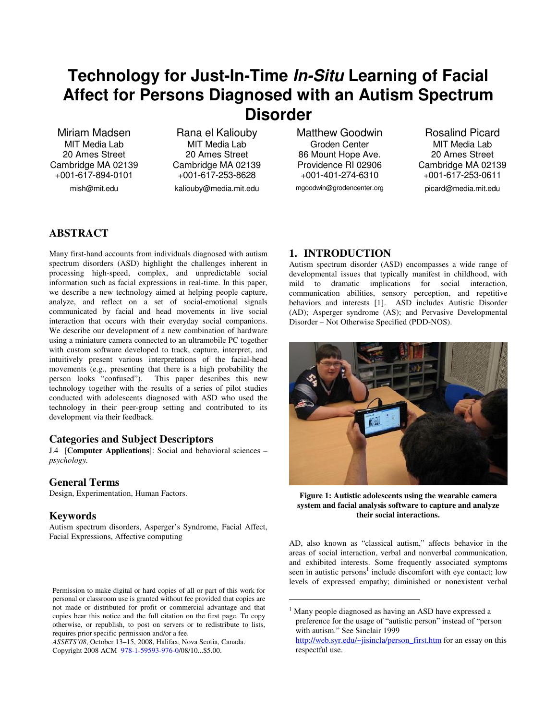# **Technology for Just-In-Time In-Situ Learning of Facial Affect for Persons Diagnosed with an Autism Spectrum Disorder**

Miriam Madsen MIT Media Lab 20 Ames Street Cambridge MA 02139 +001-617-894-0101 mish@mit.edu

Rana el Kaliouby MIT Media Lab 20 Ames Street Cambridge MA 02139 +001-617-253-8628 kaliouby@media.mit.edu

Matthew Goodwin Groden Center 86 Mount Hope Ave. Providence RI 02906 +001-401-274-6310 mgoodwin@grodencenter.org

Rosalind Picard MIT Media Lab 20 Ames Street Cambridge MA 02139 +001-617-253-0611 picard@media.mit.edu

## **ABSTRACT**

Many first-hand accounts from individuals diagnosed with autism spectrum disorders (ASD) highlight the challenges inherent in processing high-speed, complex, and unpredictable social information such as facial expressions in real-time. In this paper, we describe a new technology aimed at helping people capture, analyze, and reflect on a set of social-emotional signals communicated by facial and head movements in live social interaction that occurs with their everyday social companions. We describe our development of a new combination of hardware using a miniature camera connected to an ultramobile PC together with custom software developed to track, capture, interpret, and intuitively present various interpretations of the facial-head movements (e.g., presenting that there is a high probability the person looks "confused"). This paper describes this new technology together with the results of a series of pilot studies conducted with adolescents diagnosed with ASD who used the technology in their peer-group setting and contributed to its development via their feedback.

## **Categories and Subject Descriptors**

J.4 [**Computer Applications**]: Social and behavioral sciences – *psychology.* 

#### **General Terms**

Design, Experimentation, Human Factors.

## **Keywords**

Autism spectrum disorders, Asperger's Syndrome, Facial Affect, Facial Expressions, Affective computing

#### Permission to make digital or hard copies of all or part of this work for personal or classroom use is granted without fee provided that copies are not made or distributed for profit or commercial advantage and that copies bear this notice and the full citation on the first page. To copy otherwise, or republish, to post on servers or to redistribute to lists, requires prior specific permission and/or a fee.

*ASSETS'08*, October 13–15, 2008, Halifax, Nova Scotia, Canada. Copyright 2008 ACM 978-1-59593-976-0/08/10...\$5.00.

## **1. INTRODUCTION**

Autism spectrum disorder (ASD) encompasses a wide range of developmental issues that typically manifest in childhood, with mild to dramatic implications for social interaction, communication abilities, sensory perception, and repetitive behaviors and interests [1]. ASD includes Autistic Disorder (AD); Asperger syndrome (AS); and Pervasive Developmental Disorder – Not Otherwise Specified (PDD-NOS).



**Figure 1: Autistic adolescents using the wearable camera system and facial analysis software to capture and analyze their social interactions.** 

AD, also known as "classical autism," affects behavior in the areas of social interaction, verbal and nonverbal communication, and exhibited interests. Some frequently associated symptoms seen in autistic persons<sup>1</sup> include discomfort with eye contact; low levels of expressed empathy; diminished or nonexistent verbal

1

<sup>&</sup>lt;sup>1</sup> Many people diagnosed as having an ASD have expressed a preference for the usage of "autistic person" instead of "person with autism." See Sinclair 1999

http://web.syr.edu/~jisincla/person\_first.htm for an essay on this respectful use.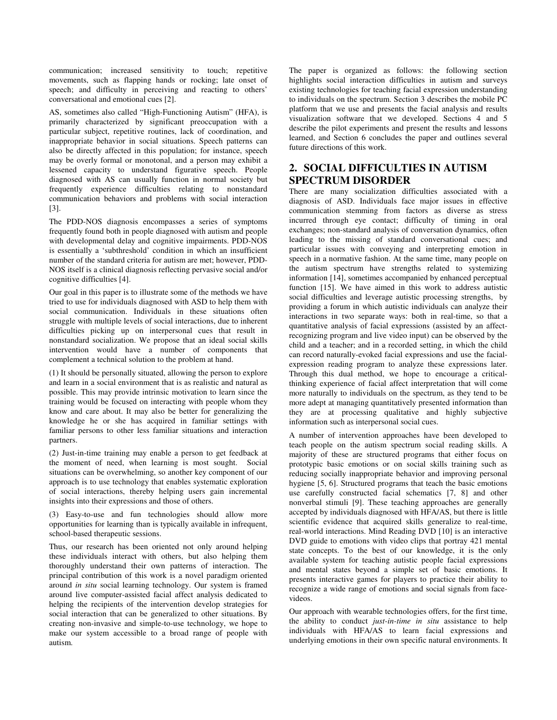communication; increased sensitivity to touch; repetitive movements, such as flapping hands or rocking; late onset of speech; and difficulty in perceiving and reacting to others' conversational and emotional cues [2].

AS, sometimes also called "High-Functioning Autism" (HFA), is primarily characterized by significant preoccupation with a particular subject, repetitive routines, lack of coordination, and inappropriate behavior in social situations. Speech patterns can also be directly affected in this population; for instance, speech may be overly formal or monotonal, and a person may exhibit a lessened capacity to understand figurative speech. People diagnosed with AS can usually function in normal society but frequently experience difficulties relating to nonstandard communication behaviors and problems with social interaction [3].

The PDD-NOS diagnosis encompasses a series of symptoms frequently found both in people diagnosed with autism and people with developmental delay and cognitive impairments. PDD-NOS is essentially a 'subthreshold' condition in which an insufficient number of the standard criteria for autism are met; however, PDD-NOS itself is a clinical diagnosis reflecting pervasive social and/or cognitive difficulties [4].

Our goal in this paper is to illustrate some of the methods we have tried to use for individuals diagnosed with ASD to help them with social communication. Individuals in these situations often struggle with multiple levels of social interactions, due to inherent difficulties picking up on interpersonal cues that result in nonstandard socialization. We propose that an ideal social skills intervention would have a number of components that complement a technical solution to the problem at hand.

(1) It should be personally situated, allowing the person to explore and learn in a social environment that is as realistic and natural as possible. This may provide intrinsic motivation to learn since the training would be focused on interacting with people whom they know and care about. It may also be better for generalizing the knowledge he or she has acquired in familiar settings with familiar persons to other less familiar situations and interaction partners.

(2) Just-in-time training may enable a person to get feedback at the moment of need, when learning is most sought. Social situations can be overwhelming, so another key component of our approach is to use technology that enables systematic exploration of social interactions, thereby helping users gain incremental insights into their expressions and those of others.

(3) Easy-to-use and fun technologies should allow more opportunities for learning than is typically available in infrequent, school-based therapeutic sessions.

Thus, our research has been oriented not only around helping these individuals interact with others, but also helping them thoroughly understand their own patterns of interaction. The principal contribution of this work is a novel paradigm oriented around *in situ* social learning technology. Our system is framed around live computer-assisted facial affect analysis dedicated to helping the recipients of the intervention develop strategies for social interaction that can be generalized to other situations. By creating non-invasive and simple-to-use technology, we hope to make our system accessible to a broad range of people with autism.

The paper is organized as follows: the following section highlights social interaction difficulties in autism and surveys existing technologies for teaching facial expression understanding to individuals on the spectrum. Section 3 describes the mobile PC platform that we use and presents the facial analysis and results visualization software that we developed. Sections 4 and 5 describe the pilot experiments and present the results and lessons learned, and Section 6 concludes the paper and outlines several future directions of this work.

## **2. SOCIAL DIFFICULTIES IN AUTISM SPECTRUM DISORDER**

There are many socialization difficulties associated with a diagnosis of ASD. Individuals face major issues in effective communication stemming from factors as diverse as stress incurred through eye contact; difficulty of timing in oral exchanges; non-standard analysis of conversation dynamics, often leading to the missing of standard conversational cues; and particular issues with conveying and interpreting emotion in speech in a normative fashion. At the same time, many people on the autism spectrum have strengths related to systemizing information [14], sometimes accompanied by enhanced perceptual function [15]. We have aimed in this work to address autistic social difficulties and leverage autistic processing strengths, by providing a forum in which autistic individuals can analyze their interactions in two separate ways: both in real-time, so that a quantitative analysis of facial expressions (assisted by an affectrecognizing program and live video input) can be observed by the child and a teacher; and in a recorded setting, in which the child can record naturally-evoked facial expressions and use the facialexpression reading program to analyze these expressions later. Through this dual method, we hope to encourage a criticalthinking experience of facial affect interpretation that will come more naturally to individuals on the spectrum, as they tend to be more adept at managing quantitatively presented information than they are at processing qualitative and highly subjective information such as interpersonal social cues.

A number of intervention approaches have been developed to teach people on the autism spectrum social reading skills. A majority of these are structured programs that either focus on prototypic basic emotions or on social skills training such as reducing socially inappropriate behavior and improving personal hygiene [5, 6]. Structured programs that teach the basic emotions use carefully constructed facial schematics [7, 8] and other nonverbal stimuli [9]. These teaching approaches are generally accepted by individuals diagnosed with HFA/AS, but there is little scientific evidence that acquired skills generalize to real-time, real-world interactions. Mind Reading DVD [10] is an interactive DVD guide to emotions with video clips that portray 421 mental state concepts. To the best of our knowledge, it is the only available system for teaching autistic people facial expressions and mental states beyond a simple set of basic emotions. It presents interactive games for players to practice their ability to recognize a wide range of emotions and social signals from facevideos.

Our approach with wearable technologies offers, for the first time, the ability to conduct *just-in-time in situ* assistance to help individuals with HFA/AS to learn facial expressions and underlying emotions in their own specific natural environments. It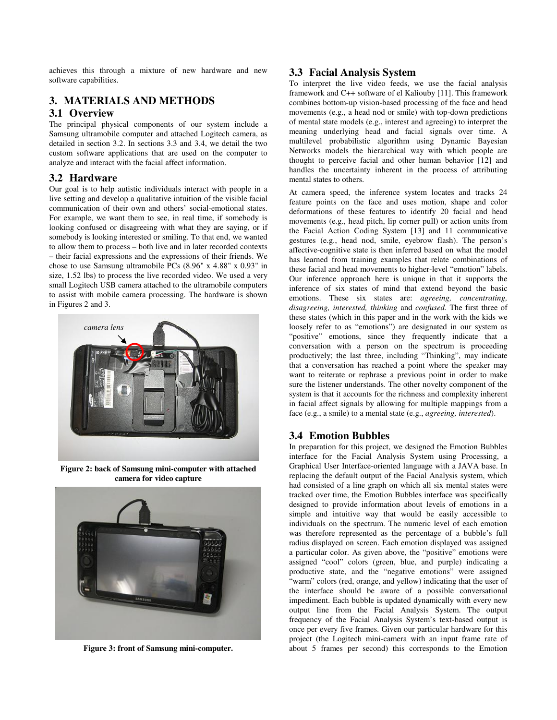achieves this through a mixture of new hardware and new software capabilities.

## **3. MATERIALS AND METHODS**

#### **3.1 Overview**

The principal physical components of our system include a Samsung ultramobile computer and attached Logitech camera, as detailed in section 3.2. In sections 3.3 and 3.4, we detail the two custom software applications that are used on the computer to analyze and interact with the facial affect information.

### **3.2 Hardware**

Our goal is to help autistic individuals interact with people in a live setting and develop a qualitative intuition of the visible facial communication of their own and others' social-emotional states. For example, we want them to see, in real time, if somebody is looking confused or disagreeing with what they are saying, or if somebody is looking interested or smiling. To that end, we wanted to allow them to process – both live and in later recorded contexts – their facial expressions and the expressions of their friends. We chose to use Samsung ultramobile PCs (8.96" x 4.88" x 0.93" in size, 1.52 lbs) to process the live recorded video. We used a very small Logitech USB camera attached to the ultramobile computers to assist with mobile camera processing. The hardware is shown in Figures 2 and 3.



**Figure 2: back of Samsung mini-computer with attached camera for video capture** 



**Figure 3: front of Samsung mini-computer.** 

## **3.3 Facial Analysis System**

To interpret the live video feeds, we use the facial analysis framework and C++ software of el Kaliouby [11]. This framework combines bottom-up vision-based processing of the face and head movements (e.g., a head nod or smile) with top-down predictions of mental state models (e.g., interest and agreeing) to interpret the meaning underlying head and facial signals over time. A multilevel probabilistic algorithm using Dynamic Bayesian Networks models the hierarchical way with which people are thought to perceive facial and other human behavior [12] and handles the uncertainty inherent in the process of attributing mental states to others.

At camera speed, the inference system locates and tracks 24 feature points on the face and uses motion, shape and color deformations of these features to identify 20 facial and head movements (e.g., head pitch, lip corner pull) or action units from the Facial Action Coding System [13] and 11 communicative gestures (e.g., head nod, smile, eyebrow flash). The person's affective-cognitive state is then inferred based on what the model has learned from training examples that relate combinations of these facial and head movements to higher-level "emotion" labels. Our inference approach here is unique in that it supports the inference of six states of mind that extend beyond the basic emotions. These six states are: *agreeing, concentrating, disagreeing, interested, thinking* and *confused*. The first three of these states (which in this paper and in the work with the kids we loosely refer to as "emotions") are designated in our system as "positive" emotions, since they frequently indicate that a conversation with a person on the spectrum is proceeding productively; the last three, including "Thinking", may indicate that a conversation has reached a point where the speaker may want to reiterate or rephrase a previous point in order to make sure the listener understands. The other novelty component of the system is that it accounts for the richness and complexity inherent in facial affect signals by allowing for multiple mappings from a face (e.g., a smile) to a mental state (e.g., *agreeing, interested*).

## **3.4 Emotion Bubbles**

In preparation for this project, we designed the Emotion Bubbles interface for the Facial Analysis System using Processing, a Graphical User Interface-oriented language with a JAVA base. In replacing the default output of the Facial Analysis system, which had consisted of a line graph on which all six mental states were tracked over time, the Emotion Bubbles interface was specifically designed to provide information about levels of emotions in a simple and intuitive way that would be easily accessible to individuals on the spectrum. The numeric level of each emotion was therefore represented as the percentage of a bubble's full radius displayed on screen. Each emotion displayed was assigned a particular color. As given above, the "positive" emotions were assigned "cool" colors (green, blue, and purple) indicating a productive state, and the "negative emotions" were assigned "warm" colors (red, orange, and yellow) indicating that the user of the interface should be aware of a possible conversational impediment. Each bubble is updated dynamically with every new output line from the Facial Analysis System. The output frequency of the Facial Analysis System's text-based output is once per every five frames. Given our particular hardware for this project (the Logitech mini-camera with an input frame rate of about 5 frames per second) this corresponds to the Emotion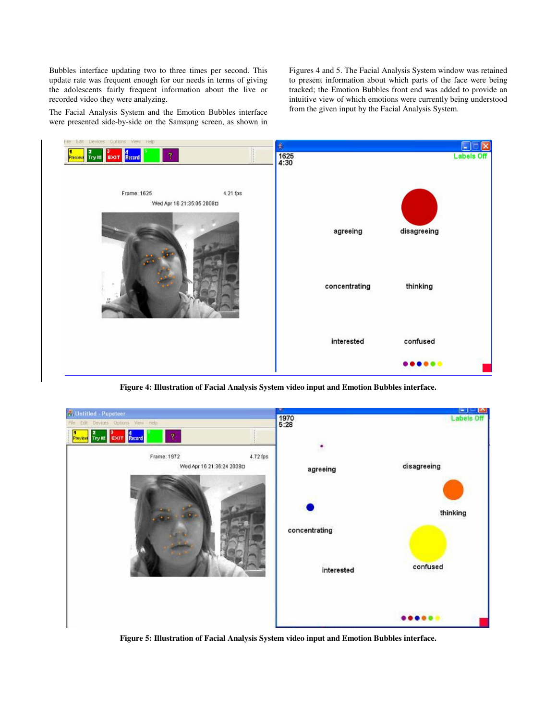Bubbles interface updating two to three times per second. This update rate was frequent enough for our needs in terms of giving the adolescents fairly frequent information about the live or recorded video they were analyzing.

The Facial Analysis System and the Emotion Bubbles interface were presented side-by-side on the Samsung screen, as shown in

Figures 4 and 5. The Facial Analysis System window was retained to present information about which parts of the face were being tracked; the Emotion Bubbles front end was added to provide an intuitive view of which emotions were currently being understood from the given input by the Facial Analysis System.



**Figure 4: Illustration of Facial Analysis System video input and Emotion Bubbles interface.** 



**Figure 5: Illustration of Facial Analysis System video input and Emotion Bubbles interface.**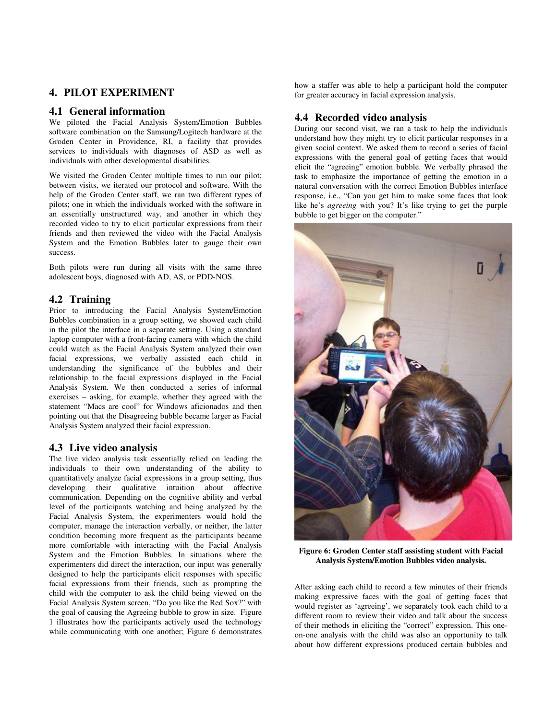## **4. PILOT EXPERIMENT**

#### **4.1 General information**

We piloted the Facial Analysis System/Emotion Bubbles software combination on the Samsung/Logitech hardware at the Groden Center in Providence, RI, a facility that provides services to individuals with diagnoses of ASD as well as individuals with other developmental disabilities.

We visited the Groden Center multiple times to run our pilot; between visits, we iterated our protocol and software. With the help of the Groden Center staff, we ran two different types of pilots; one in which the individuals worked with the software in an essentially unstructured way, and another in which they recorded video to try to elicit particular expressions from their friends and then reviewed the video with the Facial Analysis System and the Emotion Bubbles later to gauge their own success.

Both pilots were run during all visits with the same three adolescent boys, diagnosed with AD, AS, or PDD-NOS.

## **4.2 Training**

Prior to introducing the Facial Analysis System/Emotion Bubbles combination in a group setting, we showed each child in the pilot the interface in a separate setting. Using a standard laptop computer with a front-facing camera with which the child could watch as the Facial Analysis System analyzed their own facial expressions, we verbally assisted each child in understanding the significance of the bubbles and their relationship to the facial expressions displayed in the Facial Analysis System. We then conducted a series of informal exercises – asking, for example, whether they agreed with the statement "Macs are cool" for Windows aficionados and then pointing out that the Disagreeing bubble became larger as Facial Analysis System analyzed their facial expression.

## **4.3 Live video analysis**

The live video analysis task essentially relied on leading the individuals to their own understanding of the ability to quantitatively analyze facial expressions in a group setting, thus developing their qualitative intuition about affective communication. Depending on the cognitive ability and verbal level of the participants watching and being analyzed by the Facial Analysis System, the experimenters would hold the computer, manage the interaction verbally, or neither, the latter condition becoming more frequent as the participants became more comfortable with interacting with the Facial Analysis System and the Emotion Bubbles. In situations where the experimenters did direct the interaction, our input was generally designed to help the participants elicit responses with specific facial expressions from their friends, such as prompting the child with the computer to ask the child being viewed on the Facial Analysis System screen, "Do you like the Red Sox?" with the goal of causing the Agreeing bubble to grow in size. Figure 1 illustrates how the participants actively used the technology while communicating with one another; Figure 6 demonstrates how a staffer was able to help a participant hold the computer for greater accuracy in facial expression analysis.

#### **4.4 Recorded video analysis**

During our second visit, we ran a task to help the individuals understand how they might try to elicit particular responses in a given social context. We asked them to record a series of facial expressions with the general goal of getting faces that would elicit the "agreeing" emotion bubble. We verbally phrased the task to emphasize the importance of getting the emotion in a natural conversation with the correct Emotion Bubbles interface response, i.e., "Can you get him to make some faces that look like he's *agreeing* with you? It's like trying to get the purple bubble to get bigger on the computer."



**Figure 6: Groden Center staff assisting student with Facial Analysis System/Emotion Bubbles video analysis.** 

After asking each child to record a few minutes of their friends making expressive faces with the goal of getting faces that would register as 'agreeing', we separately took each child to a different room to review their video and talk about the success of their methods in eliciting the "correct" expression. This oneon-one analysis with the child was also an opportunity to talk about how different expressions produced certain bubbles and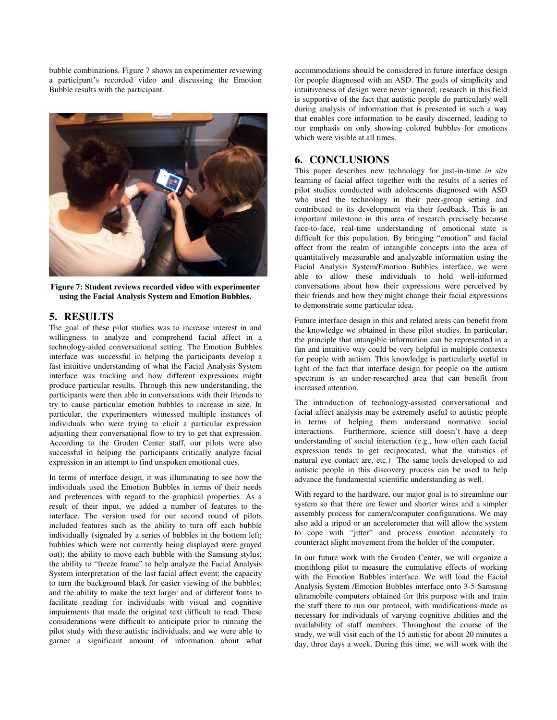bubble combinations. Figure 7 shows an experimenter reviewing a participant's recorded video and discussing the Emotion Bubble results with the participant.



**Figure 7: Student reviews recorded video with experimenter using the Facial Analysis System and Emotion Bubbles.** 

## **5. RESULTS**

The goal of these pilot studies was to increase interest in and willingness to analyze and comprehend facial affect in a technology-aided conversational setting. The Emotion Bubbles interface was successful in helping the participants develop a fast intuitive understanding of what the Facial Analysis System interface was tracking and how different expressions might produce particular results. Through this new understanding, the participants were then able in conversations with their friends to try to cause particular emotion bubbles to increase in size. In particular, the experimenters witnessed multiple instances of individuals who were trying to elicit a particular expression adjusting their conversational flow to try to get that expression. According to the Groden Center staff, our pilots were also successful in helping the participants critically analyze facial expression in an attempt to find unspoken emotional cues.

In terms of interface design, it was illuminating to see how the individuals used the Emotion Bubbles in terms of their needs and preferences with regard to the graphical properties. As a result of their input, we added a number of features to the interface. The version used for our second round of pilots included features such as the ability to turn off each bubble individually (signaled by a series of bubbles in the bottom left; bubbles which were not currently being displayed were grayed out); the ability to move each bubble with the Samsung stylus; the ability to "freeze frame" to help analyze the Facial Analysis System interpretation of the last facial affect event; the capacity to turn the background black for easier viewing of the bubbles; and the ability to make the text larger and of different fonts to facilitate reading for individuals with visual and cognitive impairments that made the original text difficult to read. These considerations were difficult to anticipate prior to running the pilot study with these autistic individuals, and we were able to garner a significant amount of information about what

accommodations should be considered in future interface design for people diagnosed with an ASD. The goals of simplicity and intuitiveness of design were never ignored; research in this field is supportive of the fact that autistic people do particularly well during analysis of information that is presented in such a way that enables core information to be easily discerned, leading to our emphasis on only showing colored bubbles for emotions which were visible at all times.

## **6. CONCLUSIONS**

This paper describes new technology for just-in-time *in situ* learning of facial affect together with the results of a series of pilot studies conducted with adolescents diagnosed with ASD who used the technology in their peer-group setting and contributed to its development via their feedback. This is an important milestone in this area of research precisely because face-to-face, real-time understanding of emotional state is difficult for this population. By bringing "emotion" and facial affect from the realm of intangible concepts into the area of quantitatively measurable and analyzable information using the Facial Analysis System/Emotion Bubbles interface, we were able to allow these individuals to hold well-informed conversations about how their expressions were perceived by their friends and how they might change their facial expressions to demonstrate some particular idea.

Future interface design in this and related areas can benefit from the knowledge we obtained in these pilot studies. In particular, the principle that intangible information can be represented in a fun and intuitive way could be very helpful in multiple contexts for people with autism. This knowledge is particularly useful in light of the fact that interface design for people on the autism spectrum is an under-researched area that can benefit from increased attention.

The introduction of technology-assisted conversational and facial affect analysis may be extremely useful to autistic people in terms of helping them understand normative social interactions. Furthermore, science still doesn't have a deep understanding of social interaction (e.g., how often each facial expression tends to get reciprocated, what the statistics of natural eye contact are, etc.) The same tools developed to aid autistic people in this discovery process can be used to help advance the fundamental scientific understanding as well.

With regard to the hardware, our major goal is to streamline our system so that there are fewer and shorter wires and a simpler assembly process for camera/computer configurations. We may also add a tripod or an accelerometer that will allow the system to cope with "jitter" and process emotion accurately to counteract slight movement from the holder of the computer.

In our future work with the Groden Center, we will organize a monthlong pilot to measure the cumulative effects of working with the Emotion Bubbles interface. We will load the Facial Analysis System /Emotion Bubbles interface onto 3-5 Samsung ultramobile computers obtained for this purpose with and train the staff there to run our protocol, with modifications made as necessary for individuals of varying cognitive abilities and the availability of staff members. Throughout the course of the study, we will visit each of the 15 autistic for about 20 minutes a day, three days a week. During this time, we will work with the